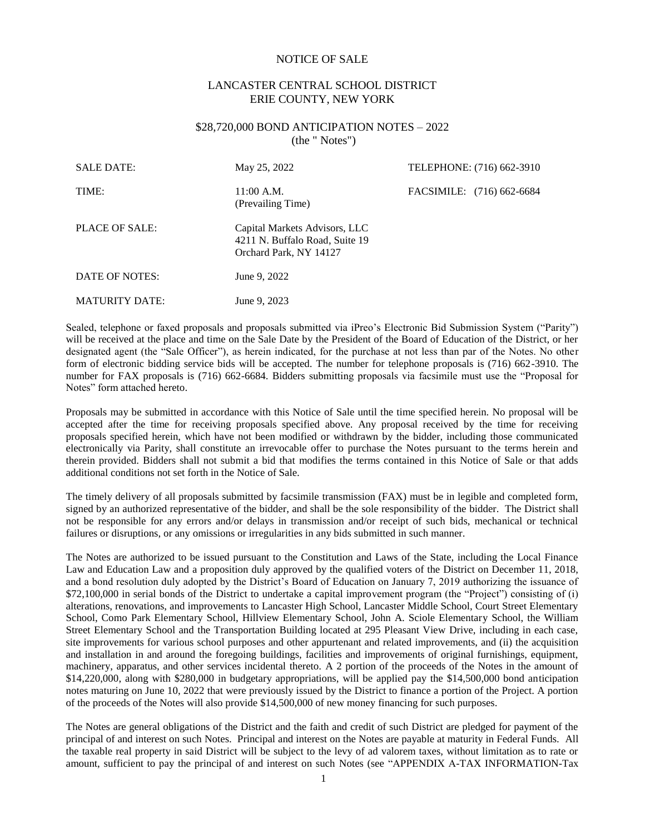### NOTICE OF SALE

## LANCASTER CENTRAL SCHOOL DISTRICT ERIE COUNTY, NEW YORK

### \$28,720,000 BOND ANTICIPATION NOTES – 2022 (the " Notes")

| <b>SALE DATE:</b>     | May 25, 2022                                                                              | TELEPHONE: (716) 662-3910 |
|-----------------------|-------------------------------------------------------------------------------------------|---------------------------|
| TIME:                 | $11:00$ A.M.<br>(Prevailing Time)                                                         | FACSIMILE: (716) 662-6684 |
| PLACE OF SALE:        | Capital Markets Advisors, LLC<br>4211 N. Buffalo Road, Suite 19<br>Orchard Park, NY 14127 |                           |
| DATE OF NOTES:        | June 9, 2022                                                                              |                           |
| <b>MATURITY DATE:</b> | June 9, 2023                                                                              |                           |

Sealed, telephone or faxed proposals and proposals submitted via iPreo's Electronic Bid Submission System ("Parity") will be received at the place and time on the Sale Date by the President of the Board of Education of the District, or her designated agent (the "Sale Officer"), as herein indicated, for the purchase at not less than par of the Notes. No other form of electronic bidding service bids will be accepted. The number for telephone proposals is (716) 662-3910. The number for FAX proposals is (716) 662-6684. Bidders submitting proposals via facsimile must use the "Proposal for Notes" form attached hereto.

Proposals may be submitted in accordance with this Notice of Sale until the time specified herein. No proposal will be accepted after the time for receiving proposals specified above. Any proposal received by the time for receiving proposals specified herein, which have not been modified or withdrawn by the bidder, including those communicated electronically via Parity, shall constitute an irrevocable offer to purchase the Notes pursuant to the terms herein and therein provided. Bidders shall not submit a bid that modifies the terms contained in this Notice of Sale or that adds additional conditions not set forth in the Notice of Sale.

The timely delivery of all proposals submitted by facsimile transmission (FAX) must be in legible and completed form, signed by an authorized representative of the bidder, and shall be the sole responsibility of the bidder. The District shall not be responsible for any errors and/or delays in transmission and/or receipt of such bids, mechanical or technical failures or disruptions, or any omissions or irregularities in any bids submitted in such manner.

The Notes are authorized to be issued pursuant to the Constitution and Laws of the State, including the Local Finance Law and Education Law and a proposition duly approved by the qualified voters of the District on December 11, 2018, and a bond resolution duly adopted by the District's Board of Education on January 7, 2019 authorizing the issuance of \$72,100,000 in serial bonds of the District to undertake a capital improvement program (the "Project") consisting of (i) alterations, renovations, and improvements to Lancaster High School, Lancaster Middle School, Court Street Elementary School, Como Park Elementary School, Hillview Elementary School, John A. Sciole Elementary School, the William Street Elementary School and the Transportation Building located at 295 Pleasant View Drive, including in each case, site improvements for various school purposes and other appurtenant and related improvements, and (ii) the acquisition and installation in and around the foregoing buildings, facilities and improvements of original furnishings, equipment, machinery, apparatus, and other services incidental thereto. A 2 portion of the proceeds of the Notes in the amount of \$14,220,000, along with \$280,000 in budgetary appropriations, will be applied pay the \$14,500,000 bond anticipation notes maturing on June 10, 2022 that were previously issued by the District to finance a portion of the Project. A portion of the proceeds of the Notes will also provide \$14,500,000 of new money financing for such purposes.

The Notes are general obligations of the District and the faith and credit of such District are pledged for payment of the principal of and interest on such Notes. Principal and interest on the Notes are payable at maturity in Federal Funds. All the taxable real property in said District will be subject to the levy of ad valorem taxes, without limitation as to rate or amount, sufficient to pay the principal of and interest on such Notes (see "APPENDIX A-TAX INFORMATION-Tax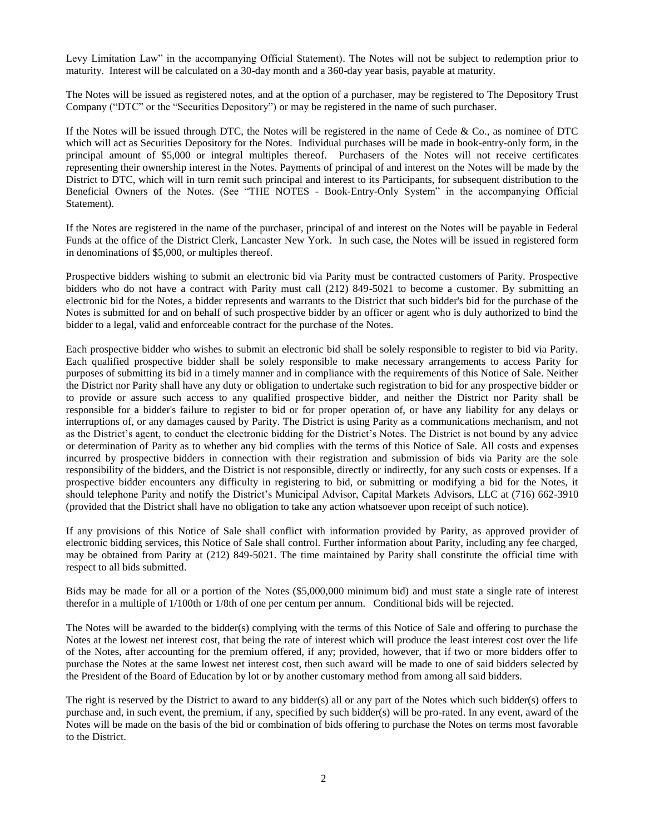Levy Limitation Law" in the accompanying Official Statement). The Notes will not be subject to redemption prior to maturity. Interest will be calculated on a 30-day month and a 360-day year basis, payable at maturity.

The Notes will be issued as registered notes, and at the option of a purchaser, may be registered to The Depository Trust Company ("DTC" or the "Securities Depository") or may be registered in the name of such purchaser.

If the Notes will be issued through DTC, the Notes will be registered in the name of Cede & Co., as nominee of DTC which will act as Securities Depository for the Notes. Individual purchases will be made in book-entry-only form, in the principal amount of \$5,000 or integral multiples thereof. Purchasers of the Notes will not receive certificates representing their ownership interest in the Notes. Payments of principal of and interest on the Notes will be made by the District to DTC, which will in turn remit such principal and interest to its Participants, for subsequent distribution to the Beneficial Owners of the Notes. (See "THE NOTES - Book-Entry-Only System" in the accompanying Official Statement).

If the Notes are registered in the name of the purchaser, principal of and interest on the Notes will be payable in Federal Funds at the office of the District Clerk, Lancaster New York. In such case, the Notes will be issued in registered form in denominations of \$5,000, or multiples thereof.

Prospective bidders wishing to submit an electronic bid via Parity must be contracted customers of Parity. Prospective bidders who do not have a contract with Parity must call (212) 849-5021 to become a customer. By submitting an electronic bid for the Notes, a bidder represents and warrants to the District that such bidder's bid for the purchase of the Notes is submitted for and on behalf of such prospective bidder by an officer or agent who is duly authorized to bind the bidder to a legal, valid and enforceable contract for the purchase of the Notes.

Each prospective bidder who wishes to submit an electronic bid shall be solely responsible to register to bid via Parity. Each qualified prospective bidder shall be solely responsible to make necessary arrangements to access Parity for purposes of submitting its bid in a timely manner and in compliance with the requirements of this Notice of Sale. Neither the District nor Parity shall have any duty or obligation to undertake such registration to bid for any prospective bidder or to provide or assure such access to any qualified prospective bidder, and neither the District nor Parity shall be responsible for a bidder's failure to register to bid or for proper operation of, or have any liability for any delays or interruptions of, or any damages caused by Parity. The District is using Parity as a communications mechanism, and not as the District's agent, to conduct the electronic bidding for the District's Notes. The District is not bound by any advice or determination of Parity as to whether any bid complies with the terms of this Notice of Sale. All costs and expenses incurred by prospective bidders in connection with their registration and submission of bids via Parity are the sole responsibility of the bidders, and the District is not responsible, directly or indirectly, for any such costs or expenses. If a prospective bidder encounters any difficulty in registering to bid, or submitting or modifying a bid for the Notes, it should telephone Parity and notify the District's Municipal Advisor, Capital Markets Advisors, LLC at (716) 662-3910 (provided that the District shall have no obligation to take any action whatsoever upon receipt of such notice).

If any provisions of this Notice of Sale shall conflict with information provided by Parity, as approved provider of electronic bidding services, this Notice of Sale shall control. Further information about Parity, including any fee charged, may be obtained from Parity at (212) 849-5021. The time maintained by Parity shall constitute the official time with respect to all bids submitted.

Bids may be made for all or a portion of the Notes (\$5,000,000 minimum bid) and must state a single rate of interest therefor in a multiple of 1/100th or 1/8th of one per centum per annum. Conditional bids will be rejected.

The Notes will be awarded to the bidder(s) complying with the terms of this Notice of Sale and offering to purchase the Notes at the lowest net interest cost, that being the rate of interest which will produce the least interest cost over the life of the Notes, after accounting for the premium offered, if any; provided, however, that if two or more bidders offer to purchase the Notes at the same lowest net interest cost, then such award will be made to one of said bidders selected by the President of the Board of Education by lot or by another customary method from among all said bidders.

The right is reserved by the District to award to any bidder(s) all or any part of the Notes which such bidder(s) offers to purchase and, in such event, the premium, if any, specified by such bidder(s) will be pro-rated. In any event, award of the Notes will be made on the basis of the bid or combination of bids offering to purchase the Notes on terms most favorable to the District.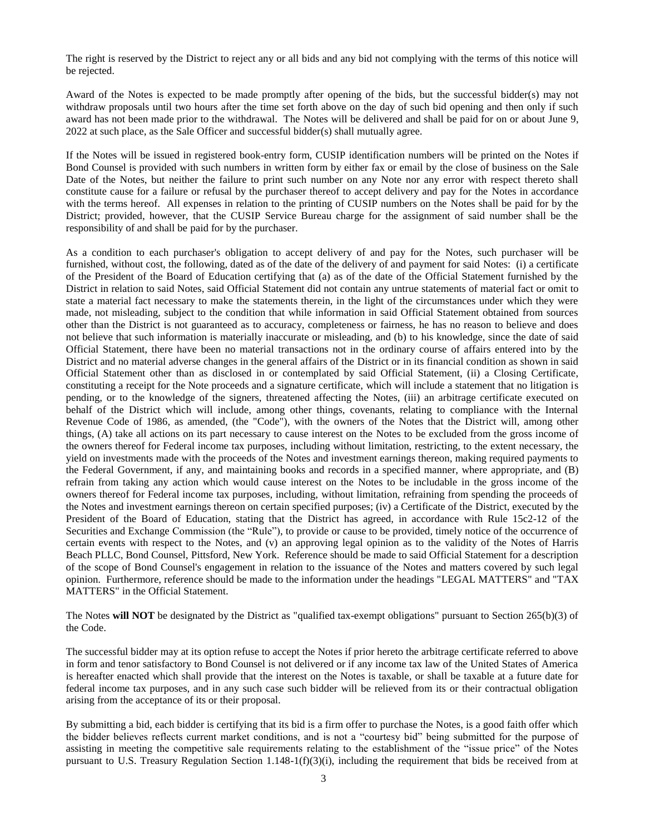The right is reserved by the District to reject any or all bids and any bid not complying with the terms of this notice will be rejected.

Award of the Notes is expected to be made promptly after opening of the bids, but the successful bidder(s) may not withdraw proposals until two hours after the time set forth above on the day of such bid opening and then only if such award has not been made prior to the withdrawal. The Notes will be delivered and shall be paid for on or about June 9, 2022 at such place, as the Sale Officer and successful bidder(s) shall mutually agree.

If the Notes will be issued in registered book-entry form, CUSIP identification numbers will be printed on the Notes if Bond Counsel is provided with such numbers in written form by either fax or email by the close of business on the Sale Date of the Notes, but neither the failure to print such number on any Note nor any error with respect thereto shall constitute cause for a failure or refusal by the purchaser thereof to accept delivery and pay for the Notes in accordance with the terms hereof. All expenses in relation to the printing of CUSIP numbers on the Notes shall be paid for by the District; provided, however, that the CUSIP Service Bureau charge for the assignment of said number shall be the responsibility of and shall be paid for by the purchaser.

As a condition to each purchaser's obligation to accept delivery of and pay for the Notes, such purchaser will be furnished, without cost, the following, dated as of the date of the delivery of and payment for said Notes: (i) a certificate of the President of the Board of Education certifying that (a) as of the date of the Official Statement furnished by the District in relation to said Notes, said Official Statement did not contain any untrue statements of material fact or omit to state a material fact necessary to make the statements therein, in the light of the circumstances under which they were made, not misleading, subject to the condition that while information in said Official Statement obtained from sources other than the District is not guaranteed as to accuracy, completeness or fairness, he has no reason to believe and does not believe that such information is materially inaccurate or misleading, and (b) to his knowledge, since the date of said Official Statement, there have been no material transactions not in the ordinary course of affairs entered into by the District and no material adverse changes in the general affairs of the District or in its financial condition as shown in said Official Statement other than as disclosed in or contemplated by said Official Statement, (ii) a Closing Certificate, constituting a receipt for the Note proceeds and a signature certificate, which will include a statement that no litigation is pending, or to the knowledge of the signers, threatened affecting the Notes, (iii) an arbitrage certificate executed on behalf of the District which will include, among other things, covenants, relating to compliance with the Internal Revenue Code of 1986, as amended, (the "Code"), with the owners of the Notes that the District will, among other things, (A) take all actions on its part necessary to cause interest on the Notes to be excluded from the gross income of the owners thereof for Federal income tax purposes, including without limitation, restricting, to the extent necessary, the yield on investments made with the proceeds of the Notes and investment earnings thereon, making required payments to the Federal Government, if any, and maintaining books and records in a specified manner, where appropriate, and (B) refrain from taking any action which would cause interest on the Notes to be includable in the gross income of the owners thereof for Federal income tax purposes, including, without limitation, refraining from spending the proceeds of the Notes and investment earnings thereon on certain specified purposes; (iv) a Certificate of the District, executed by the President of the Board of Education, stating that the District has agreed, in accordance with Rule 15c2-12 of the Securities and Exchange Commission (the "Rule"), to provide or cause to be provided, timely notice of the occurrence of certain events with respect to the Notes, and (v) an approving legal opinion as to the validity of the Notes of Harris Beach PLLC, Bond Counsel, Pittsford, New York. Reference should be made to said Official Statement for a description of the scope of Bond Counsel's engagement in relation to the issuance of the Notes and matters covered by such legal opinion. Furthermore, reference should be made to the information under the headings "LEGAL MATTERS" and "TAX MATTERS" in the Official Statement.

The Notes **will NOT** be designated by the District as "qualified tax-exempt obligations" pursuant to Section 265(b)(3) of the Code.

The successful bidder may at its option refuse to accept the Notes if prior hereto the arbitrage certificate referred to above in form and tenor satisfactory to Bond Counsel is not delivered or if any income tax law of the United States of America is hereafter enacted which shall provide that the interest on the Notes is taxable, or shall be taxable at a future date for federal income tax purposes, and in any such case such bidder will be relieved from its or their contractual obligation arising from the acceptance of its or their proposal.

By submitting a bid, each bidder is certifying that its bid is a firm offer to purchase the Notes, is a good faith offer which the bidder believes reflects current market conditions, and is not a "courtesy bid" being submitted for the purpose of assisting in meeting the competitive sale requirements relating to the establishment of the "issue price" of the Notes pursuant to U.S. Treasury Regulation Section  $1.148-1(f)(3)(i)$ , including the requirement that bids be received from at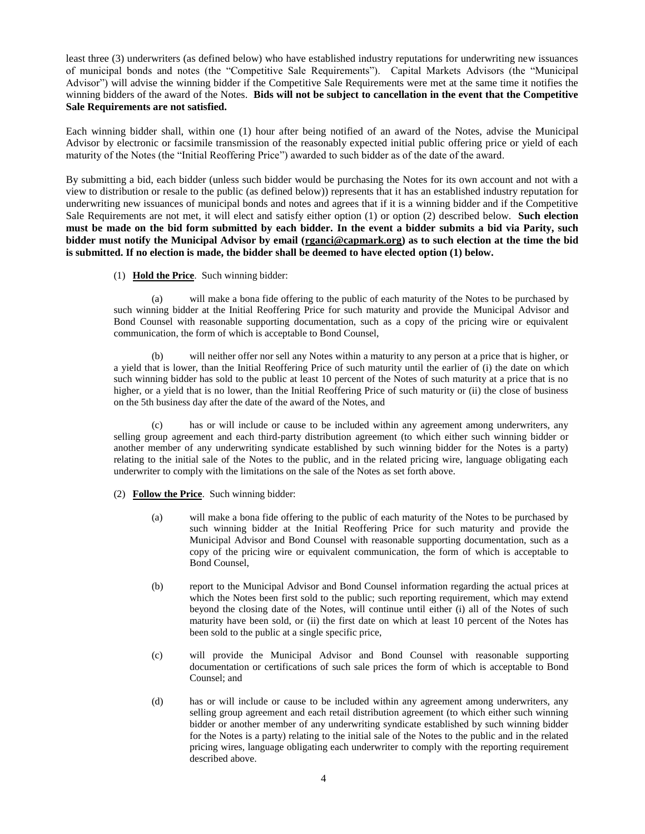least three (3) underwriters (as defined below) who have established industry reputations for underwriting new issuances of municipal bonds and notes (the "Competitive Sale Requirements"). Capital Markets Advisors (the "Municipal Advisor") will advise the winning bidder if the Competitive Sale Requirements were met at the same time it notifies the winning bidders of the award of the Notes. **Bids will not be subject to cancellation in the event that the Competitive Sale Requirements are not satisfied.**

Each winning bidder shall, within one (1) hour after being notified of an award of the Notes, advise the Municipal Advisor by electronic or facsimile transmission of the reasonably expected initial public offering price or yield of each maturity of the Notes (the "Initial Reoffering Price") awarded to such bidder as of the date of the award.

By submitting a bid, each bidder (unless such bidder would be purchasing the Notes for its own account and not with a view to distribution or resale to the public (as defined below)) represents that it has an established industry reputation for underwriting new issuances of municipal bonds and notes and agrees that if it is a winning bidder and if the Competitive Sale Requirements are not met, it will elect and satisfy either option (1) or option (2) described below. **Such election must be made on the bid form submitted by each bidder. In the event a bidder submits a bid via Parity, such bidder must notify the Municipal Advisor by email [\(rganci@capmark.org\)](mailto:rganci@capmark.org) as to such election at the time the bid is submitted. If no election is made, the bidder shall be deemed to have elected option (1) below.**

(1) **Hold the Price**. Such winning bidder:

(a) will make a bona fide offering to the public of each maturity of the Notes to be purchased by such winning bidder at the Initial Reoffering Price for such maturity and provide the Municipal Advisor and Bond Counsel with reasonable supporting documentation, such as a copy of the pricing wire or equivalent communication, the form of which is acceptable to Bond Counsel,

(b) will neither offer nor sell any Notes within a maturity to any person at a price that is higher, or a yield that is lower, than the Initial Reoffering Price of such maturity until the earlier of (i) the date on which such winning bidder has sold to the public at least 10 percent of the Notes of such maturity at a price that is no higher, or a yield that is no lower, than the Initial Reoffering Price of such maturity or (ii) the close of business on the 5th business day after the date of the award of the Notes, and

(c) has or will include or cause to be included within any agreement among underwriters, any selling group agreement and each third-party distribution agreement (to which either such winning bidder or another member of any underwriting syndicate established by such winning bidder for the Notes is a party) relating to the initial sale of the Notes to the public, and in the related pricing wire, language obligating each underwriter to comply with the limitations on the sale of the Notes as set forth above.

- (2) **Follow the Price**. Such winning bidder:
	- (a) will make a bona fide offering to the public of each maturity of the Notes to be purchased by such winning bidder at the Initial Reoffering Price for such maturity and provide the Municipal Advisor and Bond Counsel with reasonable supporting documentation, such as a copy of the pricing wire or equivalent communication, the form of which is acceptable to Bond Counsel,
	- (b) report to the Municipal Advisor and Bond Counsel information regarding the actual prices at which the Notes been first sold to the public; such reporting requirement, which may extend beyond the closing date of the Notes, will continue until either (i) all of the Notes of such maturity have been sold, or (ii) the first date on which at least 10 percent of the Notes has been sold to the public at a single specific price,
	- (c) will provide the Municipal Advisor and Bond Counsel with reasonable supporting documentation or certifications of such sale prices the form of which is acceptable to Bond Counsel; and
	- (d) has or will include or cause to be included within any agreement among underwriters, any selling group agreement and each retail distribution agreement (to which either such winning bidder or another member of any underwriting syndicate established by such winning bidder for the Notes is a party) relating to the initial sale of the Notes to the public and in the related pricing wires, language obligating each underwriter to comply with the reporting requirement described above.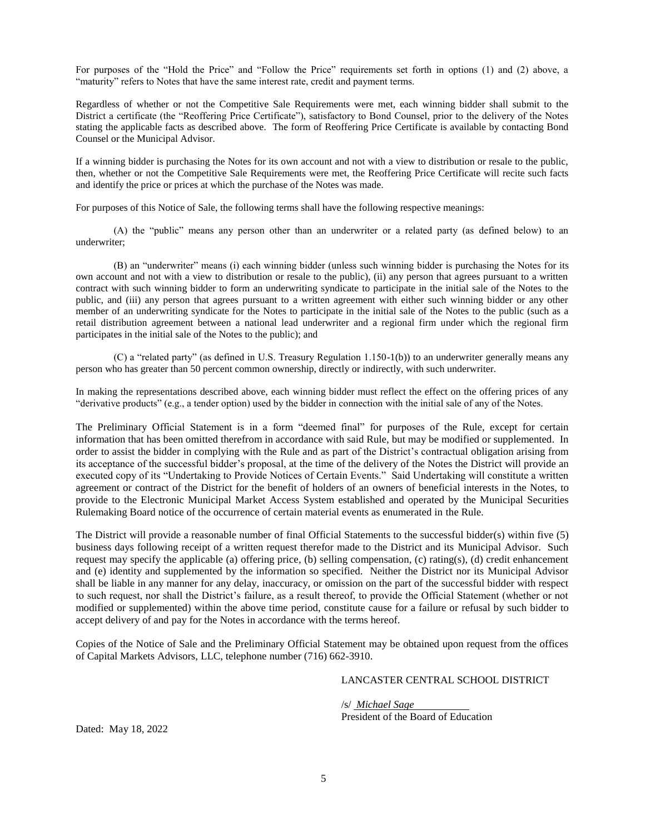For purposes of the "Hold the Price" and "Follow the Price" requirements set forth in options (1) and (2) above, a "maturity" refers to Notes that have the same interest rate, credit and payment terms.

Regardless of whether or not the Competitive Sale Requirements were met, each winning bidder shall submit to the District a certificate (the "Reoffering Price Certificate"), satisfactory to Bond Counsel, prior to the delivery of the Notes stating the applicable facts as described above. The form of Reoffering Price Certificate is available by contacting Bond Counsel or the Municipal Advisor.

If a winning bidder is purchasing the Notes for its own account and not with a view to distribution or resale to the public, then, whether or not the Competitive Sale Requirements were met, the Reoffering Price Certificate will recite such facts and identify the price or prices at which the purchase of the Notes was made.

For purposes of this Notice of Sale, the following terms shall have the following respective meanings:

(A) the "public" means any person other than an underwriter or a related party (as defined below) to an underwriter;

(B) an "underwriter" means (i) each winning bidder (unless such winning bidder is purchasing the Notes for its own account and not with a view to distribution or resale to the public), (ii) any person that agrees pursuant to a written contract with such winning bidder to form an underwriting syndicate to participate in the initial sale of the Notes to the public, and (iii) any person that agrees pursuant to a written agreement with either such winning bidder or any other member of an underwriting syndicate for the Notes to participate in the initial sale of the Notes to the public (such as a retail distribution agreement between a national lead underwriter and a regional firm under which the regional firm participates in the initial sale of the Notes to the public); and

(C) a "related party" (as defined in U.S. Treasury Regulation 1.150-1(b)) to an underwriter generally means any person who has greater than 50 percent common ownership, directly or indirectly, with such underwriter.

In making the representations described above, each winning bidder must reflect the effect on the offering prices of any "derivative products" (e.g., a tender option) used by the bidder in connection with the initial sale of any of the Notes.

The Preliminary Official Statement is in a form "deemed final" for purposes of the Rule, except for certain information that has been omitted therefrom in accordance with said Rule, but may be modified or supplemented. In order to assist the bidder in complying with the Rule and as part of the District's contractual obligation arising from its acceptance of the successful bidder's proposal, at the time of the delivery of the Notes the District will provide an executed copy of its "Undertaking to Provide Notices of Certain Events." Said Undertaking will constitute a written agreement or contract of the District for the benefit of holders of an owners of beneficial interests in the Notes, to provide to the Electronic Municipal Market Access System established and operated by the Municipal Securities Rulemaking Board notice of the occurrence of certain material events as enumerated in the Rule.

The District will provide a reasonable number of final Official Statements to the successful bidder(s) within five (5) business days following receipt of a written request therefor made to the District and its Municipal Advisor. Such request may specify the applicable (a) offering price, (b) selling compensation, (c) rating(s), (d) credit enhancement and (e) identity and supplemented by the information so specified. Neither the District nor its Municipal Advisor shall be liable in any manner for any delay, inaccuracy, or omission on the part of the successful bidder with respect to such request, nor shall the District's failure, as a result thereof, to provide the Official Statement (whether or not modified or supplemented) within the above time period, constitute cause for a failure or refusal by such bidder to accept delivery of and pay for the Notes in accordance with the terms hereof.

Copies of the Notice of Sale and the Preliminary Official Statement may be obtained upon request from the offices of Capital Markets Advisors, LLC, telephone number (716) 662-3910.

### LANCASTER CENTRAL SCHOOL DISTRICT

/s/ *Michael Sage* President of the Board of Education

Dated: May 18, 2022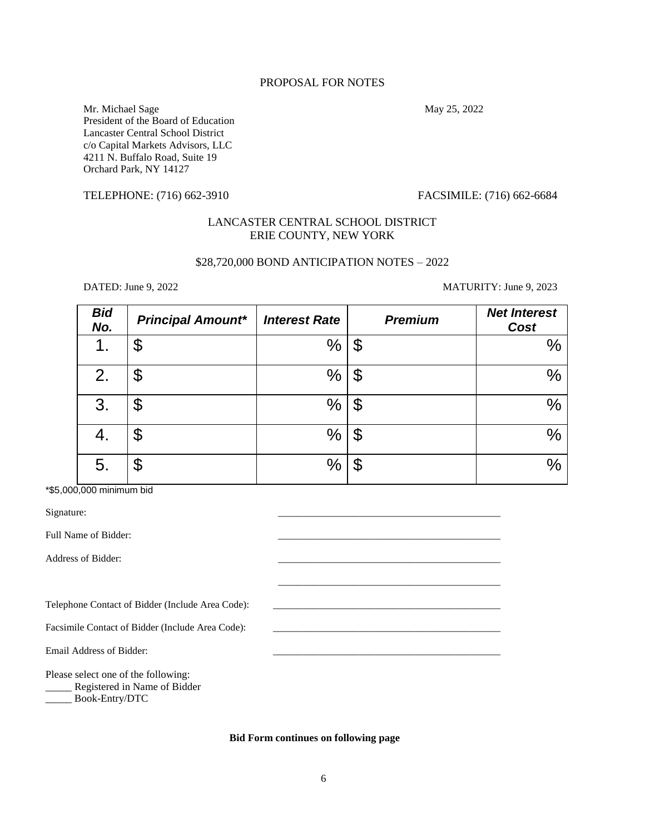# PROPOSAL FOR NOTES

Mr. Michael Sage May 25, 2022 President of the Board of Education Lancaster Central School District c/o Capital Markets Advisors, LLC 4211 N. Buffalo Road, Suite 19 Orchard Park, NY 14127

## TELEPHONE: (716) 662-3910 FACSIMILE: (716) 662-6684

# LANCASTER CENTRAL SCHOOL DISTRICT ERIE COUNTY, NEW YORK

## \$28,720,000 BOND ANTICIPATION NOTES – 2022

DATED: June 9, 2022 MATURITY: June 9, 2023

| <b>Bid</b><br>No. | <b>Principal Amount*</b> | <b>Interest Rate</b> | <b>Premium</b> | <b>Net Interest</b><br>Cost |
|-------------------|--------------------------|----------------------|----------------|-----------------------------|
| 1.                | \$                       | $\%$                 | ጥ<br>Φ         | %                           |
| 2.                | \$                       | $\frac{0}{0}$        | Φ              | $\frac{0}{0}$               |
| 3.                | \$                       | $\%$                 | σ<br>Φ         | $\frac{0}{0}$               |
|                   | \$                       | $\%$                 | Φ              | $\frac{0}{0}$               |
| 5.                | \$                       | %                    | J              | $\frac{0}{0}$               |

\*\$5,000,000 minimum bid

| Signature:                                                                            |  |
|---------------------------------------------------------------------------------------|--|
| Full Name of Bidder:                                                                  |  |
| Address of Bidder:                                                                    |  |
|                                                                                       |  |
| Telephone Contact of Bidder (Include Area Code):                                      |  |
| Facsimile Contact of Bidder (Include Area Code):                                      |  |
| Email Address of Bidder:                                                              |  |
| Please select one of the following:<br>Registered in Name of Bidder<br>Book-Entry/DTC |  |

## **Bid Form continues on following page**